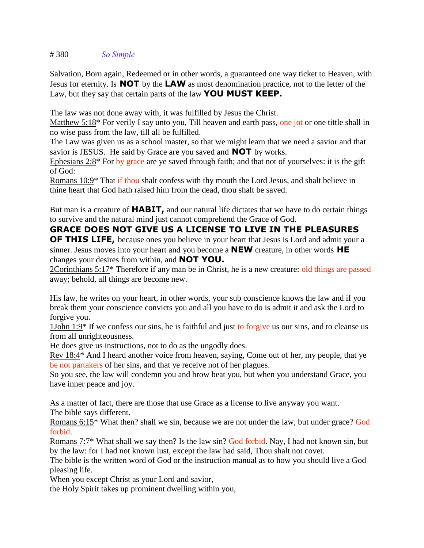# 380 *So Simple*

Salvation, Born again, Redeemed or in other words, a guaranteed one way ticket to Heaven, with Jesus for eternity. Is **NOT** by the **LAW** as most denomination practice, not to the letter of the Law, but they say that certain parts of the law **YOU MUST KEEP.**

The law was not done away with, it was fulfilled by Jesus the Christ.

Matthew 5:18<sup>\*</sup> For verily I say unto you, Till heaven and earth pass, one jot or one tittle shall in no wise pass from the law, till all be fulfilled.

The Law was given us as a school master, so that we might learn that we need a savior and that savior is JESUS. He said by Grace are you saved and **NOT** by works.

Ephesians 2:8\* For by grace are ye saved through faith; and that not of yourselves: it is the gift of God:

Romans 10:9\* That if thou shalt confess with thy mouth the Lord Jesus, and shalt believe in thine heart that God hath raised him from the dead, thou shalt be saved.

But man is a creature of **HABIT,** and our natural life dictates that we have to do certain things to survive and the natural mind just cannot comprehend the Grace of God.

## **GRACE DOES NOT GIVE US A LICENSE TO LIVE IN THE PLEASURES**

**OF THIS LIFE,** because ones you believe in your heart that Jesus is Lord and admit your a sinner. Jesus moves into your heart and you become a **NEW** creature, in other words **HE** changes your desires from within, and **NOT YOU.**

2Corinthians 5:17\* Therefore if any man be in Christ, he is a new creature: old things are passed away; behold, all things are become new.

His law, he writes on your heart, in other words, your sub conscience knows the law and if you break them your conscience convicts you and all you have to do is admit it and ask the Lord to forgive you.

1John 1:9\* If we confess our sins, he is faithful and just to forgive us our sins, and to cleanse us from all unrighteousness.

He does give us instructions, not to do as the ungodly does.

Rev 18:4\* And I heard another voice from heaven, saying, Come out of her, my people, that ye be not partakers of her sins, and that ye receive not of her plagues.

So you see, the law will condemn you and brow beat you, but when you understand Grace, you have inner peace and joy.

As a matter of fact, there are those that use Grace as a license to live anyway you want. The bible says different.

Romans 6:15\* What then? shall we sin, because we are not under the law, but under grace? God forbid.

Romans 7:7\* What shall we say then? Is the law sin? God forbid. Nay, I had not known sin, but by the law: for I had not known lust, except the law had said, Thou shalt not covet.

The bible is the written word of God or the instruction manual as to how you should live a God pleasing life.

When you except Christ as your Lord and savior,

the Holy Spirit takes up prominent dwelling within you,